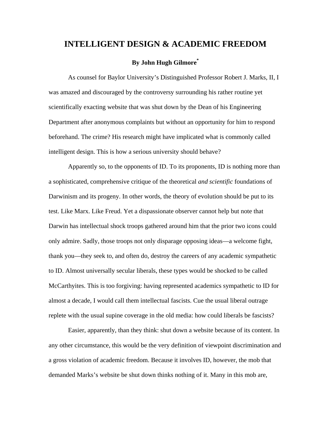## **INTELLIGENT DESIGN & ACADEMIC FREEDOM**

## **By John Hugh Gilmore\***

 As counsel for Baylor University's Distinguished Professor Robert J. Marks, II, I was amazed and discouraged by the controversy surrounding his rather routine yet scientifically exacting website that was shut down by the Dean of his Engineering Department after anonymous complaints but without an opportunity for him to respond beforehand. The crime? His research might have implicated what is commonly called intelligent design. This is how a serious university should behave?

 Apparently so, to the opponents of ID. To its proponents, ID is nothing more than a sophisticated, comprehensive critique of the theoretical *and scientific* foundations of Darwinism and its progeny. In other words, the theory of evolution should be put to its test. Like Marx. Like Freud. Yet a dispassionate observer cannot help but note that Darwin has intellectual shock troops gathered around him that the prior two icons could only admire. Sadly, those troops not only disparage opposing ideas—a welcome fight, thank you—they seek to, and often do, destroy the careers of any academic sympathetic to ID. Almost universally secular liberals, these types would be shocked to be called McCarthyites. This is too forgiving: having represented academics sympathetic to ID for almost a decade, I would call them intellectual fascists. Cue the usual liberal outrage replete with the usual supine coverage in the old media: how could liberals be fascists?

 Easier, apparently, than they think: shut down a website because of its content. In any other circumstance, this would be the very definition of viewpoint discrimination and a gross violation of academic freedom. Because it involves ID, however, the mob that demanded Marks's website be shut down thinks nothing of it. Many in this mob are,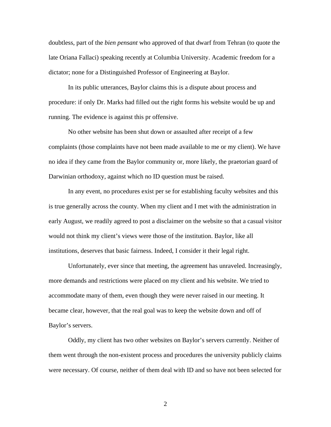doubtless, part of the *bien pensant* who approved of that dwarf from Tehran (to quote the late Oriana Fallaci) speaking recently at Columbia University. Academic freedom for a dictator; none for a Distinguished Professor of Engineering at Baylor.

 In its public utterances, Baylor claims this is a dispute about process and procedure: if only Dr. Marks had filled out the right forms his website would be up and running. The evidence is against this pr offensive.

 No other website has been shut down or assaulted after receipt of a few complaints (those complaints have not been made available to me or my client). We have no idea if they came from the Baylor community or, more likely, the praetorian guard of Darwinian orthodoxy, against which no ID question must be raised.

 In any event, no procedures exist per se for establishing faculty websites and this is true generally across the county. When my client and I met with the administration in early August, we readily agreed to post a disclaimer on the website so that a casual visitor would not think my client's views were those of the institution. Baylor, like all institutions, deserves that basic fairness. Indeed, I consider it their legal right.

 Unfortunately, ever since that meeting, the agreement has unraveled. Increasingly, more demands and restrictions were placed on my client and his website. We tried to accommodate many of them, even though they were never raised in our meeting. It became clear, however, that the real goal was to keep the website down and off of Baylor's servers.

 Oddly, my client has two other websites on Baylor's servers currently. Neither of them went through the non-existent process and procedures the university publicly claims were necessary. Of course, neither of them deal with ID and so have not been selected for

2